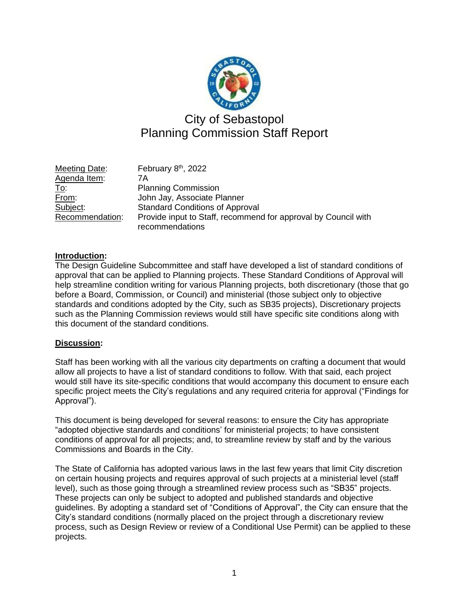

# City of Sebastopol Planning Commission Staff Report

Meeting Date: th , 2022 Agenda Item: 7A To: Planning Commission From: John Jay, Associate Planner Subject: Standard Conditions of Approval Recommendation: Provide input to Staff, recommend for approval by Council with recommendations

# **Introduction:**

The Design Guideline Subcommittee and staff have developed a list of standard conditions of approval that can be applied to Planning projects. These Standard Conditions of Approval will help streamline condition writing for various Planning projects, both discretionary (those that go before a Board, Commission, or Council) and ministerial (those subject only to objective standards and conditions adopted by the City, such as SB35 projects), Discretionary projects such as the Planning Commission reviews would still have specific site conditions along with this document of the standard conditions.

# **Discussion:**

Staff has been working with all the various city departments on crafting a document that would allow all projects to have a list of standard conditions to follow. With that said, each project would still have its site-specific conditions that would accompany this document to ensure each specific project meets the City's regulations and any required criteria for approval ("Findings for Approval").

This document is being developed for several reasons: to ensure the City has appropriate "adopted objective standards and conditions' for ministerial projects; to have consistent conditions of approval for all projects; and, to streamline review by staff and by the various Commissions and Boards in the City.

The State of California has adopted various laws in the last few years that limit City discretion on certain housing projects and requires approval of such projects at a ministerial level (staff level), such as those going through a streamlined review process such as "SB35" projects. These projects can only be subject to adopted and published standards and objective guidelines. By adopting a standard set of "Conditions of Approval", the City can ensure that the City's standard conditions (normally placed on the project through a discretionary review process, such as Design Review or review of a Conditional Use Permit) can be applied to these projects.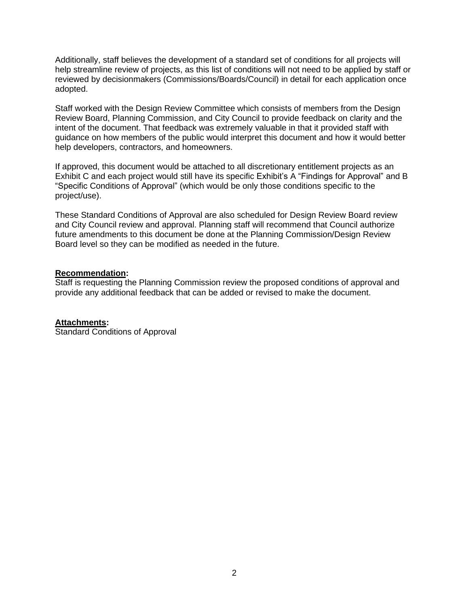Additionally, staff believes the development of a standard set of conditions for all projects will help streamline review of projects, as this list of conditions will not need to be applied by staff or reviewed by decisionmakers (Commissions/Boards/Council) in detail for each application once adopted.

Staff worked with the Design Review Committee which consists of members from the Design Review Board, Planning Commission, and City Council to provide feedback on clarity and the intent of the document. That feedback was extremely valuable in that it provided staff with guidance on how members of the public would interpret this document and how it would better help developers, contractors, and homeowners.

If approved, this document would be attached to all discretionary entitlement projects as an Exhibit C and each project would still have its specific Exhibit's A "Findings for Approval" and B "Specific Conditions of Approval" (which would be only those conditions specific to the project/use).

These Standard Conditions of Approval are also scheduled for Design Review Board review and City Council review and approval. Planning staff will recommend that Council authorize future amendments to this document be done at the Planning Commission/Design Review Board level so they can be modified as needed in the future.

#### **Recommendation:**

Staff is requesting the Planning Commission review the proposed conditions of approval and provide any additional feedback that can be added or revised to make the document.

#### **Attachments:**

Standard Conditions of Approval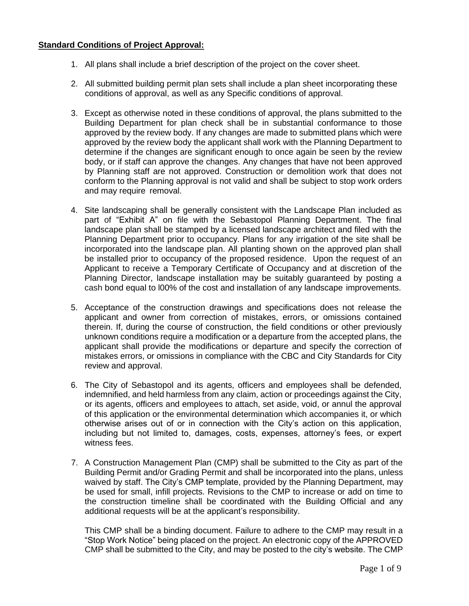# **Standard Conditions of Project Approval:**

- 1. All plans shall include a brief description of the project on the cover sheet.
- 2. All submitted building permit plan sets shall include a plan sheet incorporating these conditions of approval, as well as any Specific conditions of approval.
- 3. Except as otherwise noted in these conditions of approval, the plans submitted to the Building Department for plan check shall be in substantial conformance to those approved by the review body. If any changes are made to submitted plans which were approved by the review body the applicant shall work with the Planning Department to determine if the changes are significant enough to once again be seen by the review body, or if staff can approve the changes. Any changes that have not been approved by Planning staff are not approved. Construction or demolition work that does not conform to the Planning approval is not valid and shall be subject to stop work orders and may require removal.
- 4. Site landscaping shall be generally consistent with the Landscape Plan included as part of "Exhibit A" on file with the Sebastopol Planning Department. The final landscape plan shall be stamped by a licensed landscape architect and filed with the Planning Department prior to occupancy. Plans for any irrigation of the site shall be incorporated into the landscape plan. All planting shown on the approved plan shall be installed prior to occupancy of the proposed residence. Upon the request of an Applicant to receive a Temporary Certificate of Occupancy and at discretion of the Planning Director, landscape installation may be suitably guaranteed by posting a cash bond equal to l00% of the cost and installation of any landscape improvements.
- 5. Acceptance of the construction drawings and specifications does not release the applicant and owner from correction of mistakes, errors, or omissions contained therein. If, during the course of construction, the field conditions or other previously unknown conditions require a modification or a departure from the accepted plans, the applicant shall provide the modifications or departure and specify the correction of mistakes errors, or omissions in compliance with the CBC and City Standards for City review and approval.
- 6. The City of Sebastopol and its agents, officers and employees shall be defended, indemnified, and held harmless from any claim, action or proceedings against the City, or its agents, officers and employees to attach, set aside, void, or annul the approval of this application or the environmental determination which accompanies it, or which otherwise arises out of or in connection with the City's action on this application, including but not limited to, damages, costs, expenses, attorney's fees, or expert witness fees.
- 7. A Construction Management Plan (CMP) shall be submitted to the City as part of the Building Permit and/or Grading Permit and shall be incorporated into the plans, unless waived by staff. The City's CMP template, provided by the Planning Department, may be used for small, infill projects. Revisions to the CMP to increase or add on time to the construction timeline shall be coordinated with the Building Official and any additional requests will be at the applicant's responsibility.

This CMP shall be a binding document. Failure to adhere to the CMP may result in a "Stop Work Notice" being placed on the project. An electronic copy of the APPROVED CMP shall be submitted to the City, and may be posted to the city's website. The CMP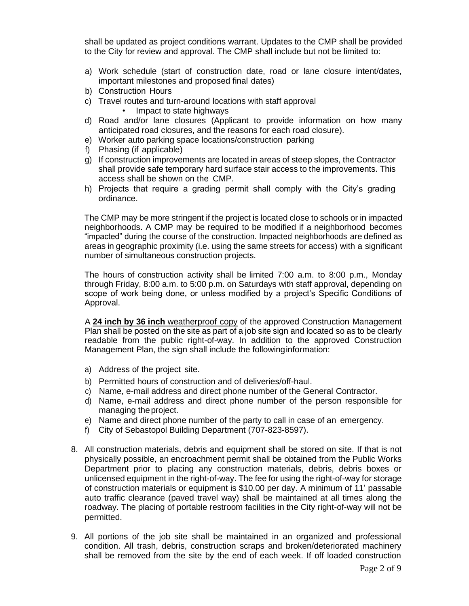shall be updated as project conditions warrant. Updates to the CMP shall be provided to the City for review and approval. The CMP shall include but not be limited to:

- a) Work schedule (start of construction date, road or lane closure intent/dates, important milestones and proposed final dates)
- b) Construction Hours
- c) Travel routes and turn-around locations with staff approval
	- Impact to state highways
- d) Road and/or lane closures (Applicant to provide information on how many anticipated road closures, and the reasons for each road closure).
- e) Worker auto parking space locations/construction parking
- f) Phasing (if applicable)
- g) If construction improvements are located in areas of steep slopes, the Contractor shall provide safe temporary hard surface stair access to the improvements. This access shall be shown on the CMP.
- h) Projects that require a grading permit shall comply with the City's grading ordinance.

The CMP may be more stringent if the project is located close to schools or in impacted neighborhoods. A CMP may be required to be modified if a neighborhood becomes "impacted" during the course of the construction. Impacted neighborhoods are defined as areas in geographic proximity (i.e. using the same streets for access) with a significant number of simultaneous construction projects.

The hours of construction activity shall be limited 7:00 a.m. to 8:00 p.m., Monday through Friday, 8:00 a.m. to 5:00 p.m. on Saturdays with staff approval, depending on scope of work being done, or unless modified by a project's Specific Conditions of Approval.

A **24 inch by 36 inch** weatherproof copy of the approved Construction Management Plan shall be posted on the site as part of a job site sign and located so as to be clearly readable from the public right-of-way. In addition to the approved Construction Management Plan, the sign shall include the followinginformation:

- a) Address of the project site.
- b) Permitted hours of construction and of deliveries/off-haul.
- c) Name, e-mail address and direct phone number of the General Contractor.
- d) Name, e-mail address and direct phone number of the person responsible for managing theproject.
- e) Name and direct phone number of the party to call in case of an emergency.
- f) City of Sebastopol Building Department (707-823-8597).
- 8. All construction materials, debris and equipment shall be stored on site. If that is not physically possible, an encroachment permit shall be obtained from the Public Works Department prior to placing any construction materials, debris, debris boxes or unlicensed equipment in the right-of-way. The fee for using the right-of-way for storage of construction materials or equipment is \$10.00 per day. A minimum of 11' passable auto traffic clearance (paved travel way) shall be maintained at all times along the roadway. The placing of portable restroom facilities in the City right-of-way will not be permitted.
- 9. All portions of the job site shall be maintained in an organized and professional condition. All trash, debris, construction scraps and broken/deteriorated machinery shall be removed from the site by the end of each week. If off loaded construction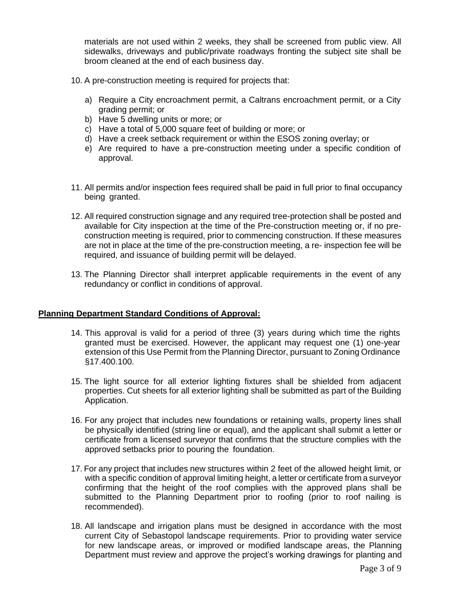materials are not used within 2 weeks, they shall be screened from public view. All sidewalks, driveways and public/private roadways fronting the subject site shall be broom cleaned at the end of each business day.

- 10. A pre-construction meeting is required for projects that:
	- a) Require a City encroachment permit, a Caltrans encroachment permit, or a City grading permit; or
	- b) Have 5 dwelling units or more; or
	- c) Have a total of 5,000 square feet of building or more; or
	- d) Have a creek setback requirement or within the ESOS zoning overlay; or
	- e) Are required to have a pre-construction meeting under a specific condition of approval.
- 11. All permits and/or inspection fees required shall be paid in full prior to final occupancy being granted.
- 12. All required construction signage and any required tree-protection shall be posted and available for City inspection at the time of the Pre-construction meeting or, if no preconstruction meeting is required, prior to commencing construction. If these measures are not in place at the time of the pre-construction meeting, a re- inspection fee will be required, and issuance of building permit will be delayed.
- 13. The Planning Director shall interpret applicable requirements in the event of any redundancy or conflict in conditions of approval.

#### **Planning Department Standard Conditions of Approval:**

- 14. This approval is valid for a period of three (3) years during which time the rights granted must be exercised. However, the applicant may request one (1) one-year extension of this Use Permit from the Planning Director, pursuant to Zoning Ordinance §17.400.100.
- 15. The light source for all exterior lighting fixtures shall be shielded from adjacent properties. Cut sheets for all exterior lighting shall be submitted as part of the Building Application.
- 16. For any project that includes new foundations or retaining walls, property lines shall be physically identified (string line or equal), and the applicant shall submit a letter or certificate from a licensed surveyor that confirms that the structure complies with the approved setbacks prior to pouring the foundation.
- 17. For any project that includes new structures within 2 feet of the allowed height limit, or with a specific condition of approval limiting height, a letter or certificate from a surveyor confirming that the height of the roof complies with the approved plans shall be submitted to the Planning Department prior to roofing (prior to roof nailing is recommended).
- 18. All landscape and irrigation plans must be designed in accordance with the most current City of Sebastopol landscape requirements. Prior to providing water service for new landscape areas, or improved or modified landscape areas, the Planning Department must review and approve the project's working drawings for planting and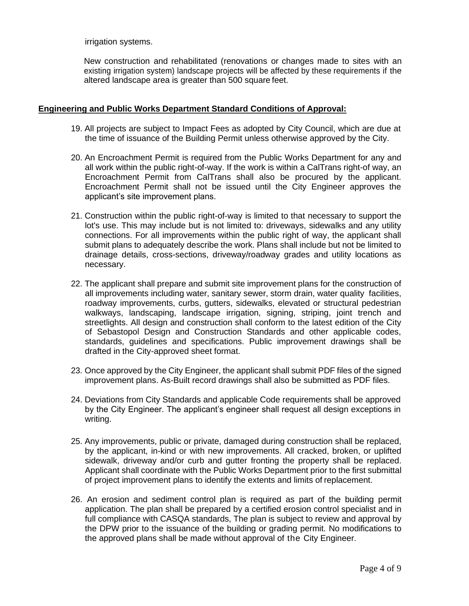irrigation systems.

New construction and rehabilitated (renovations or changes made to sites with an existing irrigation system) landscape projects will be affected by these requirements if the altered landscape area is greater than 500 square feet.

#### **Engineering and Public Works Department Standard Conditions of Approval:**

- 19. All projects are subject to Impact Fees as adopted by City Council, which are due at the time of issuance of the Building Permit unless otherwise approved by the City.
- 20. An Encroachment Permit is required from the Public Works Department for any and all work within the public right-of-way. If the work is within a CalTrans right-of way, an Encroachment Permit from CalTrans shall also be procured by the applicant. Encroachment Permit shall not be issued until the City Engineer approves the applicant's site improvement plans.
- 21. Construction within the public right-of-way is limited to that necessary to support the lot's use. This may include but is not limited to: driveways, sidewalks and any utility connections. For all improvements within the public right of way, the applicant shall submit plans to adequately describe the work. Plans shall include but not be limited to drainage details, cross-sections, driveway/roadway grades and utility locations as necessary.
- 22. The applicant shall prepare and submit site improvement plans for the construction of all improvements including water, sanitary sewer, storm drain, water quality facilities, roadway improvements, curbs, gutters, sidewalks, elevated or structural pedestrian walkways, landscaping, landscape irrigation, signing, striping, joint trench and streetlights. All design and construction shall conform to the latest edition of the City of Sebastopol Design and Construction Standards and other applicable codes, standards, guidelines and specifications. Public improvement drawings shall be drafted in the City-approved sheet format.
- 23. Once approved by the City Engineer, the applicant shall submit PDF files of the signed improvement plans. As-Built record drawings shall also be submitted as PDF files.
- 24. Deviations from City Standards and applicable Code requirements shall be approved by the City Engineer. The applicant's engineer shall request all design exceptions in writing.
- 25. Any improvements, public or private, damaged during construction shall be replaced, by the applicant, in-kind or with new improvements. All cracked, broken, or uplifted sidewalk, driveway and/or curb and gutter fronting the property shall be replaced. Applicant shall coordinate with the Public Works Department prior to the first submittal of project improvement plans to identify the extents and limits of replacement.
- 26. An erosion and sediment control plan is required as part of the building permit application. The plan shall be prepared by a certified erosion control specialist and in full compliance with CASQA standards, The plan is subject to review and approval by the DPW prior to the issuance of the building or grading permit. No modifications to the approved plans shall be made without approval of the City Engineer.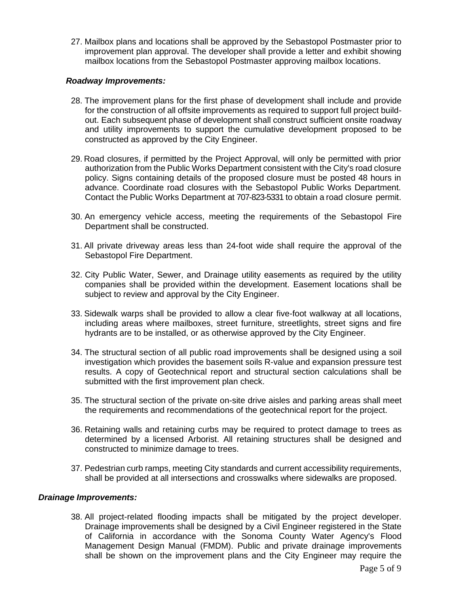27. Mailbox plans and locations shall be approved by the Sebastopol Postmaster prior to improvement plan approval. The developer shall provide a letter and exhibit showing mailbox locations from the Sebastopol Postmaster approving mailbox locations.

#### *Roadway Improvements:*

- 28. The improvement plans for the first phase of development shall include and provide for the construction of all offsite improvements as required to support full project buildout. Each subsequent phase of development shall construct sufficient onsite roadway and utility improvements to support the cumulative development proposed to be constructed as approved by the City Engineer.
- 29. Road closures, if permitted by the Project Approval, will only be permitted with prior authorization from the Public Works Department consistent with the City's road closure policy. Signs containing details of the proposed closure must be posted 48 hours in advance. Coordinate road closures with the Sebastopol Public Works Department. Contact the Public Works Department at 707-823-5331 to obtain a road closure permit.
- 30. An emergency vehicle access, meeting the requirements of the Sebastopol Fire Department shall be constructed.
- 31. All private driveway areas less than 24-foot wide shall require the approval of the Sebastopol Fire Department.
- 32. City Public Water, Sewer, and Drainage utility easements as required by the utility companies shall be provided within the development. Easement locations shall be subject to review and approval by the City Engineer.
- 33. Sidewalk warps shall be provided to allow a clear five-foot walkway at all locations, including areas where mailboxes, street furniture, streetlights, street signs and fire hydrants are to be installed, or as otherwise approved by the City Engineer.
- 34. The structural section of all public road improvements shall be designed using a soil investigation which provides the basement soils R-value and expansion pressure test results. A copy of Geotechnical report and structural section calculations shall be submitted with the first improvement plan check.
- 35. The structural section of the private on-site drive aisles and parking areas shall meet the requirements and recommendations of the geotechnical report for the project.
- 36. Retaining walls and retaining curbs may be required to protect damage to trees as determined by a licensed Arborist. All retaining structures shall be designed and constructed to minimize damage to trees.
- 37. Pedestrian curb ramps, meeting City standards and current accessibility requirements, shall be provided at all intersections and crosswalks where sidewalks are proposed.

#### *Drainage Improvements:*

38. All project-related flooding impacts shall be mitigated by the project developer. Drainage improvements shall be designed by a Civil Engineer registered in the State of California in accordance with the Sonoma County Water Agency's Flood Management Design Manual (FMDM). Public and private drainage improvements shall be shown on the improvement plans and the City Engineer may require the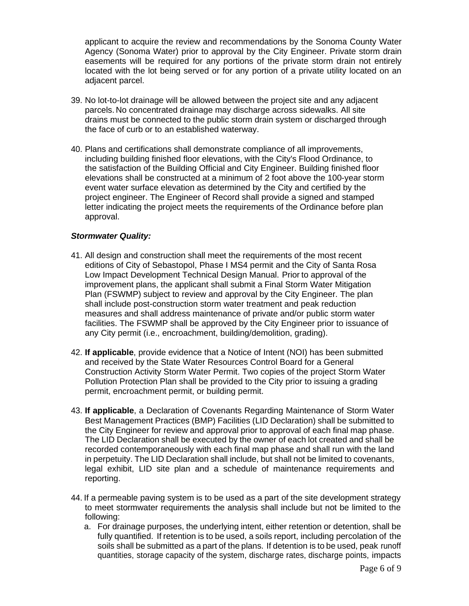applicant to acquire the review and recommendations by the Sonoma County Water Agency (Sonoma Water) prior to approval by the City Engineer. Private storm drain easements will be required for any portions of the private storm drain not entirely located with the lot being served or for any portion of a private utility located on an adjacent parcel.

- 39. No lot-to-lot drainage will be allowed between the project site and any adjacent parcels. No concentrated drainage may discharge across sidewalks. All site drains must be connected to the public storm drain system or discharged through the face of curb or to an established waterway.
- 40. Plans and certifications shall demonstrate compliance of all improvements, including building finished floor elevations, with the City's Flood Ordinance, to the satisfaction of the Building Official and City Engineer. Building finished floor elevations shall be constructed at a minimum of 2 foot above the 100-year storm event water surface elevation as determined by the City and certified by the project engineer. The Engineer of Record shall provide a signed and stamped letter indicating the project meets the requirements of the Ordinance before plan approval.

### *Stormwater Quality:*

- 41. All design and construction shall meet the requirements of the most recent editions of City of Sebastopol, Phase I MS4 permit and the City of Santa Rosa Low Impact Development Technical Design Manual. Prior to approval of the improvement plans, the applicant shall submit a Final Storm Water Mitigation Plan (FSWMP) subject to review and approval by the City Engineer. The plan shall include post-construction storm water treatment and peak reduction measures and shall address maintenance of private and/or public storm water facilities. The FSWMP shall be approved by the City Engineer prior to issuance of any City permit (i.e., encroachment, building/demolition, grading).
- 42. **If applicable**, provide evidence that a Notice of Intent (NOI) has been submitted and received by the State Water Resources Control Board for a General Construction Activity Storm Water Permit. Two copies of the project Storm Water Pollution Protection Plan shall be provided to the City prior to issuing a grading permit, encroachment permit, or building permit.
- 43. **If applicable**, a Declaration of Covenants Regarding Maintenance of Storm Water Best Management Practices (BMP) Facilities (LID Declaration) shall be submitted to the City Engineer for review and approval prior to approval of each final map phase. The LID Declaration shall be executed by the owner of each lot created and shall be recorded contemporaneously with each final map phase and shall run with the land in perpetuity. The LID Declaration shall include, but shall not be limited to covenants, legal exhibit, LID site plan and a schedule of maintenance requirements and reporting.
- 44. If a permeable paving system is to be used as a part of the site development strategy to meet stormwater requirements the analysis shall include but not be limited to the following:
	- a. For drainage purposes, the underlying intent, either retention or detention, shall be fully quantified. If retention is to be used, a soils report, including percolation of the soils shall be submitted as a part of the plans. If detention is to be used, peak runoff quantities, storage capacity of the system, discharge rates, discharge points, impacts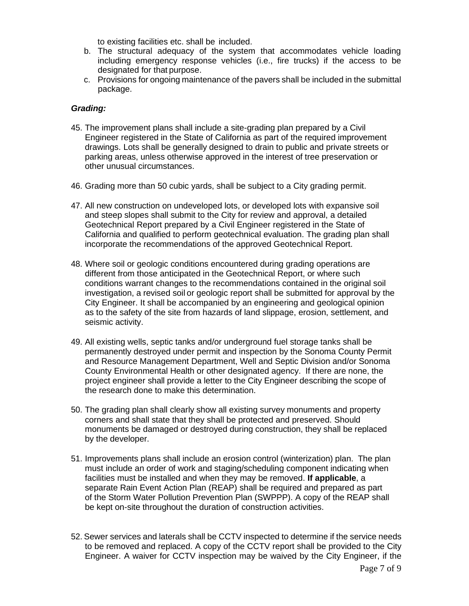to existing facilities etc. shall be included.

- b. The structural adequacy of the system that accommodates vehicle loading including emergency response vehicles (i.e., fire trucks) if the access to be designated for that purpose.
- c. Provisions for ongoing maintenance of the pavers shall be included in the submittal package.

# *Grading:*

- 45. The improvement plans shall include a site-grading plan prepared by a Civil Engineer registered in the State of California as part of the required improvement drawings. Lots shall be generally designed to drain to public and private streets or parking areas, unless otherwise approved in the interest of tree preservation or other unusual circumstances.
- 46. Grading more than 50 cubic yards, shall be subject to a City grading permit.
- 47. All new construction on undeveloped lots, or developed lots with expansive soil and steep slopes shall submit to the City for review and approval, a detailed Geotechnical Report prepared by a Civil Engineer registered in the State of California and qualified to perform geotechnical evaluation. The grading plan shall incorporate the recommendations of the approved Geotechnical Report.
- 48. Where soil or geologic conditions encountered during grading operations are different from those anticipated in the Geotechnical Report, or where such conditions warrant changes to the recommendations contained in the original soil investigation, a revised soil or geologic report shall be submitted for approval by the City Engineer. It shall be accompanied by an engineering and geological opinion as to the safety of the site from hazards of land slippage, erosion, settlement, and seismic activity.
- 49. All existing wells, septic tanks and/or underground fuel storage tanks shall be permanently destroyed under permit and inspection by the Sonoma County Permit and Resource Management Department, Well and Septic Division and/or Sonoma County Environmental Health or other designated agency. If there are none, the project engineer shall provide a letter to the City Engineer describing the scope of the research done to make this determination.
- 50. The grading plan shall clearly show all existing survey monuments and property corners and shall state that they shall be protected and preserved. Should monuments be damaged or destroyed during construction, they shall be replaced by the developer.
- 51. Improvements plans shall include an erosion control (winterization) plan. The plan must include an order of work and staging/scheduling component indicating when facilities must be installed and when they may be removed. **If applicable**, a separate Rain Event Action Plan (REAP) shall be required and prepared as part of the Storm Water Pollution Prevention Plan (SWPPP). A copy of the REAP shall be kept on-site throughout the duration of construction activities.
- 52. Sewer services and laterals shall be CCTV inspected to determine if the service needs to be removed and replaced. A copy of the CCTV report shall be provided to the City Engineer. A waiver for CCTV inspection may be waived by the City Engineer, if the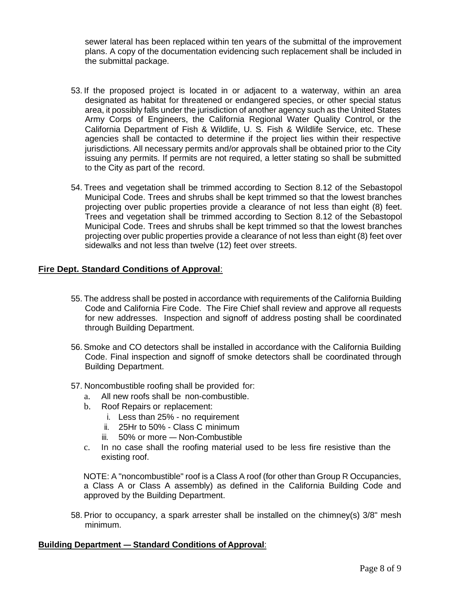sewer lateral has been replaced within ten years of the submittal of the improvement plans. A copy of the documentation evidencing such replacement shall be included in the submittal package.

- 53. If the proposed project is located in or adjacent to a waterway, within an area designated as habitat for threatened or endangered species, or other special status area, it possibly falls under the jurisdiction of another agency such as the United States Army Corps of Engineers, the California Regional Water Quality Control, or the California Department of Fish & Wildlife, U. S. Fish & Wildlife Service, etc. These agencies shall be contacted to determine if the project lies within their respective jurisdictions. All necessary permits and/or approvals shall be obtained prior to the City issuing any permits. If permits are not required, a letter stating so shall be submitted to the City as part of the record.
- 54. Trees and vegetation shall be trimmed according to Section 8.12 of the Sebastopol Municipal Code. Trees and shrubs shall be kept trimmed so that the lowest branches projecting over public properties provide a clearance of not less than eight (8) feet. Trees and vegetation shall be trimmed according to Section 8.12 of the Sebastopol Municipal Code. Trees and shrubs shall be kept trimmed so that the lowest branches projecting over public properties provide a clearance of not less than eight (8) feet over sidewalks and not less than twelve (12) feet over streets.

# **Fire Dept. Standard Conditions of Approval**:

- 55. The address shall be posted in accordance with requirements of the California Building Code and California Fire Code. The Fire Chief shall review and approve all requests for new addresses. Inspection and signoff of address posting shall be coordinated through Building Department.
- 56.Smoke and CO detectors shall be installed in accordance with the California Building Code. Final inspection and signoff of smoke detectors shall be coordinated through Building Department.
- 57. Noncombustible roofing shall be provided for:
	- a. All new roofs shall be non-combustible.
	- b. Roof Repairs or replacement:
		- i. Less than 25% no requirement
		- ii. 25Hr to 50% Class C minimum
		- iii. 50% or more Non-Combustible
	- c. In no case shall the roofing material used to be less fire resistive than the existing roof.

NOTE: A "noncombustible" roof is a Class A roof (for other than Group R Occupancies, a Class A or Class A assembly) as defined in the California Building Code and approved by the Building Department.

58. Prior to occupancy, a spark arrester shall be installed on the chimney(s) 3/8" mesh minimum.

#### **Building Department — Standard Conditions of Approval**: